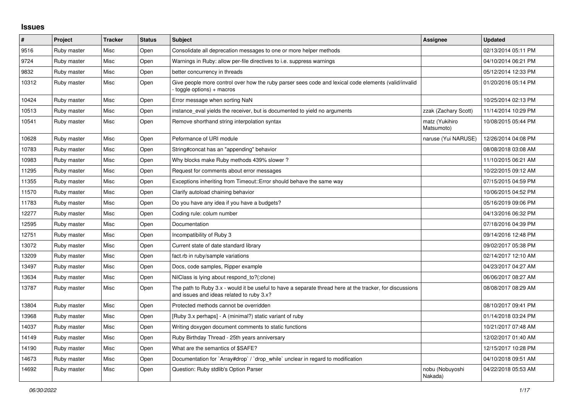## **Issues**

| $\vert$ # | Project     | <b>Tracker</b> | <b>Status</b> | <b>Subject</b>                                                                                                                                        | Assignee                     | <b>Updated</b>      |
|-----------|-------------|----------------|---------------|-------------------------------------------------------------------------------------------------------------------------------------------------------|------------------------------|---------------------|
| 9516      | Ruby master | Misc           | Open          | Consolidate all deprecation messages to one or more helper methods                                                                                    |                              | 02/13/2014 05:11 PM |
| 9724      | Ruby master | Misc           | Open          | Warnings in Ruby: allow per-file directives to i.e. suppress warnings                                                                                 |                              | 04/10/2014 06:21 PM |
| 9832      | Ruby master | Misc           | Open          | better concurrency in threads                                                                                                                         |                              | 05/12/2014 12:33 PM |
| 10312     | Ruby master | Misc           | Open          | Give people more control over how the ruby parser sees code and lexical code elements (valid/invalid<br>toggle options) + macros                      |                              | 01/20/2016 05:14 PM |
| 10424     | Ruby master | Misc           | Open          | Error message when sorting NaN                                                                                                                        |                              | 10/25/2014 02:13 PM |
| 10513     | Ruby master | Misc           | Open          | instance_eval yields the receiver, but is documented to yield no arguments                                                                            | zzak (Zachary Scott)         | 11/14/2014 10:29 PM |
| 10541     | Ruby master | Misc           | Open          | Remove shorthand string interpolation syntax                                                                                                          | matz (Yukihiro<br>Matsumoto) | 10/08/2015 05:44 PM |
| 10628     | Ruby master | Misc           | Open          | Peformance of URI module                                                                                                                              | naruse (Yui NARUSE)          | 12/26/2014 04:08 PM |
| 10783     | Ruby master | Misc           | Open          | String#concat has an "appending" behavior                                                                                                             |                              | 08/08/2018 03:08 AM |
| 10983     | Ruby master | Misc           | Open          | Why blocks make Ruby methods 439% slower?                                                                                                             |                              | 11/10/2015 06:21 AM |
| 11295     | Ruby master | Misc           | Open          | Request for comments about error messages                                                                                                             |                              | 10/22/2015 09:12 AM |
| 11355     | Ruby master | Misc           | Open          | Exceptions inheriting from Timeout:: Error should behave the same way                                                                                 |                              | 07/15/2015 04:59 PM |
| 11570     | Ruby master | Misc           | Open          | Clarify autoload chaining behavior                                                                                                                    |                              | 10/06/2015 04:52 PM |
| 11783     | Ruby master | Misc           | Open          | Do you have any idea if you have a budgets?                                                                                                           |                              | 05/16/2019 09:06 PM |
| 12277     | Ruby master | Misc           | Open          | Coding rule: colum number                                                                                                                             |                              | 04/13/2016 06:32 PM |
| 12595     | Ruby master | Misc           | Open          | Documentation                                                                                                                                         |                              | 07/18/2016 04:39 PM |
| 12751     | Ruby master | Misc           | Open          | Incompatibility of Ruby 3                                                                                                                             |                              | 09/14/2016 12:48 PM |
| 13072     | Ruby master | Misc           | Open          | Current state of date standard library                                                                                                                |                              | 09/02/2017 05:38 PM |
| 13209     | Ruby master | Misc           | Open          | fact.rb in ruby/sample variations                                                                                                                     |                              | 02/14/2017 12:10 AM |
| 13497     | Ruby master | Misc           | Open          | Docs, code samples, Ripper example                                                                                                                    |                              | 04/23/2017 04:27 AM |
| 13634     | Ruby master | Misc           | Open          | NilClass is lying about respond_to?(:clone)                                                                                                           |                              | 06/06/2017 08:27 AM |
| 13787     | Ruby master | Misc           | Open          | The path to Ruby 3.x - would it be useful to have a separate thread here at the tracker, for discussions<br>and issues and ideas related to ruby 3.x? |                              | 08/08/2017 08:29 AM |
| 13804     | Ruby master | Misc           | Open          | Protected methods cannot be overridden                                                                                                                |                              | 08/10/2017 09:41 PM |
| 13968     | Ruby master | Misc           | Open          | [Ruby 3.x perhaps] - A (minimal?) static variant of ruby                                                                                              |                              | 01/14/2018 03:24 PM |
| 14037     | Ruby master | Misc           | Open          | Writing doxygen document comments to static functions                                                                                                 |                              | 10/21/2017 07:48 AM |
| 14149     | Ruby master | Misc           | Open          | Ruby Birthday Thread - 25th years anniversary                                                                                                         |                              | 12/02/2017 01:40 AM |
| 14190     | Ruby master | Misc           | Open          | What are the semantics of \$SAFE?                                                                                                                     |                              | 12/15/2017 10:28 PM |
| 14673     | Ruby master | Misc           | Open          | Documentation for `Array#drop` / `drop_while` unclear in regard to modification                                                                       |                              | 04/10/2018 09:51 AM |
| 14692     | Ruby master | Misc           | Open          | Question: Ruby stdlib's Option Parser                                                                                                                 | nobu (Nobuyoshi<br>Nakada)   | 04/22/2018 05:53 AM |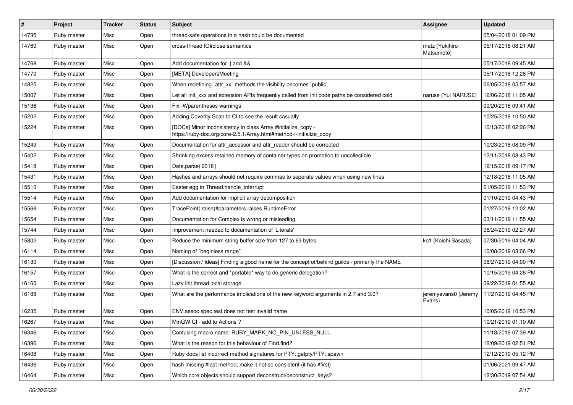| #     | Project     | <b>Tracker</b> | <b>Status</b> | Subject                                                                                                                             | Assignee                       | <b>Updated</b>      |
|-------|-------------|----------------|---------------|-------------------------------------------------------------------------------------------------------------------------------------|--------------------------------|---------------------|
| 14735 | Ruby master | Misc           | Open          | thread-safe operations in a hash could be documented                                                                                |                                | 05/04/2018 01:09 PM |
| 14760 | Ruby master | Misc           | Open          | cross-thread IO#close semantics                                                                                                     | matz (Yukihiro<br>Matsumoto)   | 05/17/2018 08:21 AM |
| 14768 | Ruby master | Misc           | Open          | Add documentation for    and &&                                                                                                     |                                | 05/17/2018 09:45 AM |
| 14770 | Ruby master | Misc           | Open          | [META] DevelopersMeeting                                                                                                            |                                | 05/17/2018 12:28 PM |
| 14825 | Ruby master | Misc           | Open          | When redefining 'attr_xx' methods the visibility becomes 'public'                                                                   |                                | 06/05/2018 05:57 AM |
| 15007 | Ruby master | Misc           | Open          | Let all Init_xxx and extension APIs frequently called from init code paths be considered cold                                       | naruse (Yui NARUSE)            | 12/06/2018 11:05 AM |
| 15136 | Ruby master | Misc           | Open          | Fix - Wparentheses warnings                                                                                                         |                                | 09/20/2018 09:41 AM |
| 15202 | Ruby master | Misc           | Open          | Adding Coverity Scan to CI to see the result casually                                                                               |                                | 10/25/2018 10:50 AM |
| 15224 | Ruby master | Misc           | Open          | [DOCs] Minor inconsistency in class Array #initialize_copy -<br>https://ruby-doc.org/core-2.5.1/Array.html#method-i-initialize_copy |                                | 10/13/2018 02:26 PM |
| 15249 | Ruby master | Misc           | Open          | Documentation for attr_accessor and attr_reader should be corrected                                                                 |                                | 10/23/2018 08:09 PM |
| 15402 | Ruby master | Misc           | Open          | Shrinking excess retained memory of container types on promotion to uncollectible                                                   |                                | 12/11/2018 08:43 PM |
| 15418 | Ruby master | Misc           | Open          | Date.parse('2018')                                                                                                                  |                                | 12/15/2018 09:17 PM |
| 15431 | Ruby master | Misc           | Open          | Hashes and arrays should not require commas to seperate values when using new lines                                                 |                                | 12/18/2018 11:05 AM |
| 15510 | Ruby master | Misc           | Open          | Easter egg in Thread.handle_interrupt                                                                                               |                                | 01/05/2019 11:53 PM |
| 15514 | Ruby master | Misc           | Open          | Add documentation for implicit array decomposition                                                                                  |                                | 01/10/2019 04:43 PM |
| 15568 | Ruby master | Misc           | Open          | TracePoint(:raise)#parameters raises RuntimeError                                                                                   |                                | 01/27/2019 12:02 AM |
| 15654 | Ruby master | Misc           | Open          | Documentation for Complex is wrong or misleading                                                                                    |                                | 03/11/2019 11:55 AM |
| 15744 | Ruby master | Misc           | Open          | Improvement needed to documentation of 'Literals'                                                                                   |                                | 06/24/2019 02:27 AM |
| 15802 | Ruby master | Misc           | Open          | Reduce the minimum string buffer size from 127 to 63 bytes                                                                          | ko1 (Koichi Sasada)            | 07/30/2019 04:04 AM |
| 16114 | Ruby master | Misc           | Open          | Naming of "beginless range"                                                                                                         |                                | 10/08/2019 03:06 PM |
| 16130 | Ruby master | Misc           | Open          | [Discussion / Ideas] Finding a good name for the concept of/behind guilds - primarily the NAME                                      |                                | 08/27/2019 04:00 PM |
| 16157 | Ruby master | Misc           | Open          | What is the correct and *portable* way to do generic delegation?                                                                    |                                | 10/15/2019 04:28 PM |
| 16160 | Ruby master | Misc           | Open          | Lazy init thread local storage                                                                                                      |                                | 09/22/2019 01:55 AM |
| 16188 | Ruby master | Misc           | Open          | What are the performance implications of the new keyword arguments in 2.7 and 3.0?                                                  | jeremyevans0 (Jeremy<br>Evans) | 11/27/2019 04:45 PM |
| 16235 | Ruby master | Misc           | Open          | ENV assoc spec test does not test invalid name                                                                                      |                                | 10/05/2019 10:53 PM |
| 16267 | Ruby master | Misc           | Open          | MinGW CI - add to Actions ?                                                                                                         |                                | 10/21/2019 01:10 AM |
| 16346 | Ruby master | Misc           | Open          | Confusing macro name: RUBY_MARK_NO_PIN_UNLESS_NULL                                                                                  |                                | 11/13/2019 07:39 AM |
| 16396 | Ruby master | Misc           | Open          | What is the reason for this behaviour of Find.find?                                                                                 |                                | 12/09/2019 02:51 PM |
| 16408 | Ruby master | Misc           | Open          | Ruby docs list incorrect method signatures for PTY::getpty/PTY::spawn                                                               |                                | 12/12/2019 05:12 PM |
| 16436 | Ruby master | Misc           | Open          | hash missing #last method, make it not so consistent (it has #first)                                                                |                                | 01/06/2021 09:47 AM |
| 16464 | Ruby master | Misc           | Open          | Which core objects should support deconstruct/deconstruct_keys?                                                                     |                                | 12/30/2019 07:54 AM |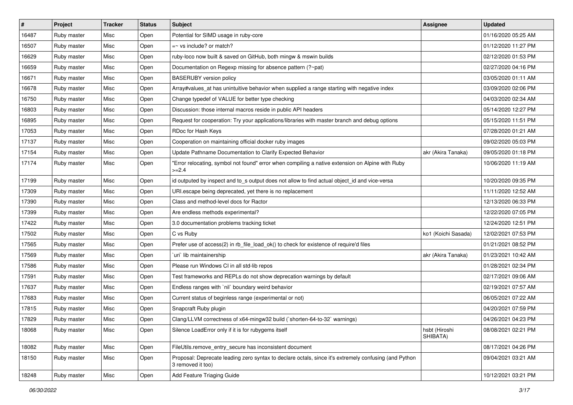| #     | Project     | <b>Tracker</b> | <b>Status</b> | Subject                                                                                                                    | Assignee                  | <b>Updated</b>      |
|-------|-------------|----------------|---------------|----------------------------------------------------------------------------------------------------------------------------|---------------------------|---------------------|
| 16487 | Ruby master | Misc           | Open          | Potential for SIMD usage in ruby-core                                                                                      |                           | 01/16/2020 05:25 AM |
| 16507 | Ruby master | Misc           | Open          | $=$ vs include? or match?                                                                                                  |                           | 01/12/2020 11:27 PM |
| 16629 | Ruby master | Misc           | Open          | ruby-loco now built & saved on GitHub, both mingw & mswin builds                                                           |                           | 02/12/2020 01:53 PM |
| 16659 | Ruby master | Misc           | Open          | Documentation on Regexp missing for absence pattern (?~pat)                                                                |                           | 02/27/2020 04:16 PM |
| 16671 | Ruby master | Misc           | Open          | <b>BASERUBY</b> version policy                                                                                             |                           | 03/05/2020 01:11 AM |
| 16678 | Ruby master | Misc           | Open          | Array#values_at has unintuitive behavior when supplied a range starting with negative index                                |                           | 03/09/2020 02:06 PM |
| 16750 | Ruby master | Misc           | Open          | Change typedef of VALUE for better type checking                                                                           |                           | 04/03/2020 02:34 AM |
| 16803 | Ruby master | Misc           | Open          | Discussion: those internal macros reside in public API headers                                                             |                           | 05/14/2020 12:27 PM |
| 16895 | Ruby master | Misc           | Open          | Request for cooperation: Try your applications/libraries with master branch and debug options                              |                           | 05/15/2020 11:51 PM |
| 17053 | Ruby master | Misc           | Open          | RDoc for Hash Keys                                                                                                         |                           | 07/28/2020 01:21 AM |
| 17137 | Ruby master | Misc           | Open          | Cooperation on maintaining official docker ruby images                                                                     |                           | 09/02/2020 05:03 PM |
| 17154 | Ruby master | Misc           | Open          | Update Pathname Documentation to Clarify Expected Behavior                                                                 | akr (Akira Tanaka)        | 09/05/2020 01:18 PM |
| 17174 | Ruby master | Misc           | Open          | "Error relocating, symbol not found" error when compiling a native extension on Alpine with Ruby<br>$>=2.4$                |                           | 10/06/2020 11:19 AM |
| 17199 | Ruby master | Misc           | Open          | id outputed by inspect and to_s output does not allow to find actual object_id and vice-versa                              |                           | 10/20/2020 09:35 PM |
| 17309 | Ruby master | Misc           | Open          | URI escape being deprecated, yet there is no replacement                                                                   |                           | 11/11/2020 12:52 AM |
| 17390 | Ruby master | Misc           | Open          | Class and method-level docs for Ractor                                                                                     |                           | 12/13/2020 06:33 PM |
| 17399 | Ruby master | Misc           | Open          | Are endless methods experimental?                                                                                          |                           | 12/22/2020 07:05 PM |
| 17422 | Ruby master | Misc           | Open          | 3.0 documentation problems tracking ticket                                                                                 |                           | 12/24/2020 12:51 PM |
| 17502 | Ruby master | Misc           | Open          | C vs Ruby                                                                                                                  | ko1 (Koichi Sasada)       | 12/02/2021 07:53 PM |
| 17565 | Ruby master | Misc           | Open          | Prefer use of access(2) in rb_file_load_ok() to check for existence of require'd files                                     |                           | 01/21/2021 08:52 PM |
| 17569 | Ruby master | Misc           | Open          | 'uri' lib maintainership                                                                                                   | akr (Akira Tanaka)        | 01/23/2021 10:42 AM |
| 17586 | Ruby master | Misc           | Open          | Please run Windows CI in all std-lib repos                                                                                 |                           | 01/28/2021 02:34 PM |
| 17591 | Ruby master | Misc           | Open          | Test frameworks and REPLs do not show deprecation warnings by default                                                      |                           | 02/17/2021 09:06 AM |
| 17637 | Ruby master | Misc           | Open          | Endless ranges with `nil` boundary weird behavior                                                                          |                           | 02/19/2021 07:57 AM |
| 17683 | Ruby master | Misc           | Open          | Current status of beginless range (experimental or not)                                                                    |                           | 06/05/2021 07:22 AM |
| 17815 | Ruby master | Misc           | Open          | Snapcraft Ruby plugin                                                                                                      |                           | 04/20/2021 07:59 PM |
| 17829 | Ruby master | Misc           | Open          | Clang/LLVM correctness of x64-mingw32 build (`shorten-64-to-32` warnings)                                                  |                           | 04/26/2021 04:23 PM |
| 18068 | Ruby master | Misc           | Open          | Silence LoadError only if it is for rubygems itself                                                                        | hsbt (Hiroshi<br>SHIBATA) | 08/08/2021 02:21 PM |
| 18082 | Ruby master | Misc           | Open          | FileUtils.remove_entry_secure has inconsistent document                                                                    |                           | 08/17/2021 04:26 PM |
| 18150 | Ruby master | Misc           | Open          | Proposal: Deprecate leading zero syntax to declare octals, since it's extremely confusing (and Python<br>3 removed it too) |                           | 09/04/2021 03:21 AM |
| 18248 | Ruby master | Misc           | Open          | Add Feature Triaging Guide                                                                                                 |                           | 10/12/2021 03:21 PM |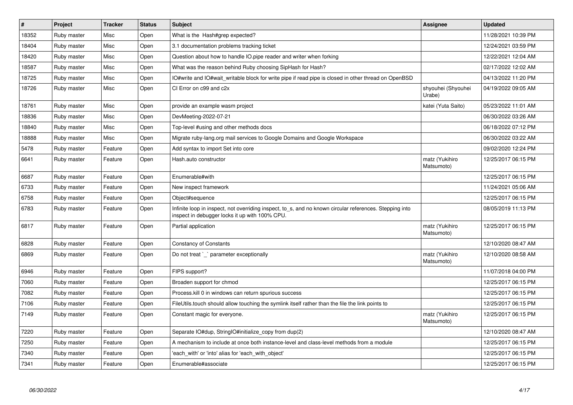| $\vert$ # | Project     | <b>Tracker</b> | <b>Status</b> | <b>Subject</b>                                                                                                                                            | Assignee                     | <b>Updated</b>      |
|-----------|-------------|----------------|---------------|-----------------------------------------------------------------------------------------------------------------------------------------------------------|------------------------------|---------------------|
| 18352     | Ruby master | Misc           | Open          | What is the Hash#grep expected?                                                                                                                           |                              | 11/28/2021 10:39 PM |
| 18404     | Ruby master | Misc           | Open          | 3.1 documentation problems tracking ticket                                                                                                                |                              | 12/24/2021 03:59 PM |
| 18420     | Ruby master | Misc           | Open          | Question about how to handle IO.pipe reader and writer when forking                                                                                       |                              | 12/22/2021 12:04 AM |
| 18587     | Ruby master | Misc           | Open          | What was the reason behind Ruby choosing SipHash for Hash?                                                                                                |                              | 02/17/2022 12:02 AM |
| 18725     | Ruby master | Misc           | Open          | IO#write and IO#wait writable block for write pipe if read pipe is closed in other thread on OpenBSD                                                      |                              | 04/13/2022 11:20 PM |
| 18726     | Ruby master | Misc           | Open          | CI Error on c99 and c2x                                                                                                                                   | shyouhei (Shyouhei<br>Urabe) | 04/19/2022 09:05 AM |
| 18761     | Ruby master | Misc           | Open          | provide an example wasm project                                                                                                                           | katei (Yuta Saito)           | 05/23/2022 11:01 AM |
| 18836     | Ruby master | Misc           | Open          | DevMeeting-2022-07-21                                                                                                                                     |                              | 06/30/2022 03:26 AM |
| 18840     | Ruby master | Misc           | Open          | Top-level #using and other methods docs                                                                                                                   |                              | 06/18/2022 07:12 PM |
| 18888     | Ruby master | Misc           | Open          | Migrate ruby-lang.org mail services to Google Domains and Google Workspace                                                                                |                              | 06/30/2022 03:22 AM |
| 5478      | Ruby master | Feature        | Open          | Add syntax to import Set into core                                                                                                                        |                              | 09/02/2020 12:24 PM |
| 6641      | Ruby master | Feature        | Open          | Hash.auto constructor                                                                                                                                     | matz (Yukihiro<br>Matsumoto) | 12/25/2017 06:15 PM |
| 6687      | Ruby master | Feature        | Open          | Enumerable#with                                                                                                                                           |                              | 12/25/2017 06:15 PM |
| 6733      | Ruby master | Feature        | Open          | New inspect framework                                                                                                                                     |                              | 11/24/2021 05:06 AM |
| 6758      | Ruby master | Feature        | Open          | Object#sequence                                                                                                                                           |                              | 12/25/2017 06:15 PM |
| 6783      | Ruby master | Feature        | Open          | Infinite loop in inspect, not overriding inspect, to s, and no known circular references. Stepping into<br>inspect in debugger locks it up with 100% CPU. |                              | 08/05/2019 11:13 PM |
| 6817      | Ruby master | Feature        | Open          | Partial application                                                                                                                                       | matz (Yukihiro<br>Matsumoto) | 12/25/2017 06:15 PM |
| 6828      | Ruby master | Feature        | Open          | <b>Constancy of Constants</b>                                                                                                                             |                              | 12/10/2020 08:47 AM |
| 6869      | Ruby master | Feature        | Open          | Do not treat `_` parameter exceptionally                                                                                                                  | matz (Yukihiro<br>Matsumoto) | 12/10/2020 08:58 AM |
| 6946      | Ruby master | Feature        | Open          | FIPS support?                                                                                                                                             |                              | 11/07/2018 04:00 PM |
| 7060      | Ruby master | Feature        | Open          | Broaden support for chmod                                                                                                                                 |                              | 12/25/2017 06:15 PM |
| 7082      | Ruby master | Feature        | Open          | Process. kill 0 in windows can return spurious success                                                                                                    |                              | 12/25/2017 06:15 PM |
| 7106      | Ruby master | Feature        | Open          | FileUtils.touch should allow touching the symlink itself rather than the file the link points to                                                          |                              | 12/25/2017 06:15 PM |
| 7149      | Ruby master | Feature        | Open          | Constant magic for everyone.                                                                                                                              | matz (Yukihiro<br>Matsumoto) | 12/25/2017 06:15 PM |
| 7220      | Ruby master | Feature        | Open          | Separate IO#dup, StringIO#initialize copy from dup(2)                                                                                                     |                              | 12/10/2020 08:47 AM |
| 7250      | Ruby master | Feature        | Open          | A mechanism to include at once both instance-level and class-level methods from a module                                                                  |                              | 12/25/2017 06:15 PM |
| 7340      | Ruby master | Feature        | Open          | each_with' or 'into' alias for 'each_with_object'                                                                                                         |                              | 12/25/2017 06:15 PM |
| 7341      | Ruby master | Feature        | Open          | Enumerable#associate                                                                                                                                      |                              | 12/25/2017 06:15 PM |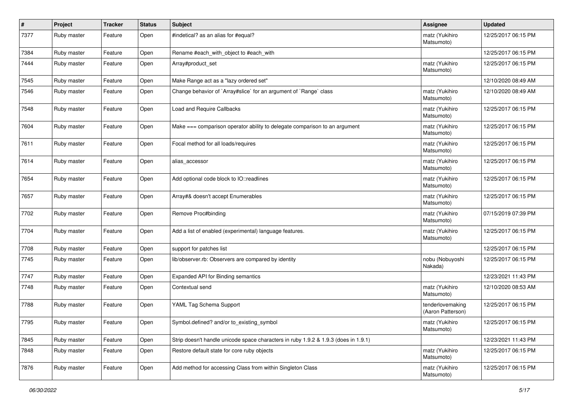| #    | Project     | <b>Tracker</b> | <b>Status</b> | <b>Subject</b>                                                                      | Assignee                              | <b>Updated</b>      |
|------|-------------|----------------|---------------|-------------------------------------------------------------------------------------|---------------------------------------|---------------------|
| 7377 | Ruby master | Feature        | Open          | #indetical? as an alias for #equal?                                                 | matz (Yukihiro<br>Matsumoto)          | 12/25/2017 06:15 PM |
| 7384 | Ruby master | Feature        | Open          | Rename #each with object to #each with                                              |                                       | 12/25/2017 06:15 PM |
| 7444 | Ruby master | Feature        | Open          | Array#product_set                                                                   | matz (Yukihiro<br>Matsumoto)          | 12/25/2017 06:15 PM |
| 7545 | Ruby master | Feature        | Open          | Make Range act as a "lazy ordered set"                                              |                                       | 12/10/2020 08:49 AM |
| 7546 | Ruby master | Feature        | Open          | Change behavior of `Array#slice` for an argument of `Range` class                   | matz (Yukihiro<br>Matsumoto)          | 12/10/2020 08:49 AM |
| 7548 | Ruby master | Feature        | Open          | Load and Require Callbacks                                                          | matz (Yukihiro<br>Matsumoto)          | 12/25/2017 06:15 PM |
| 7604 | Ruby master | Feature        | Open          | Make $==$ comparison operator ability to delegate comparison to an argument         | matz (Yukihiro<br>Matsumoto)          | 12/25/2017 06:15 PM |
| 7611 | Ruby master | Feature        | Open          | Focal method for all loads/requires                                                 | matz (Yukihiro<br>Matsumoto)          | 12/25/2017 06:15 PM |
| 7614 | Ruby master | Feature        | Open          | alias_accessor                                                                      | matz (Yukihiro<br>Matsumoto)          | 12/25/2017 06:15 PM |
| 7654 | Ruby master | Feature        | Open          | Add optional code block to IO::readlines                                            | matz (Yukihiro<br>Matsumoto)          | 12/25/2017 06:15 PM |
| 7657 | Ruby master | Feature        | Open          | Array#& doesn't accept Enumerables                                                  | matz (Yukihiro<br>Matsumoto)          | 12/25/2017 06:15 PM |
| 7702 | Ruby master | Feature        | Open          | Remove Proc#binding                                                                 | matz (Yukihiro<br>Matsumoto)          | 07/15/2019 07:39 PM |
| 7704 | Ruby master | Feature        | Open          | Add a list of enabled (experimental) language features.                             | matz (Yukihiro<br>Matsumoto)          | 12/25/2017 06:15 PM |
| 7708 | Ruby master | Feature        | Open          | support for patches list                                                            |                                       | 12/25/2017 06:15 PM |
| 7745 | Ruby master | Feature        | Open          | lib/observer.rb: Observers are compared by identity                                 | nobu (Nobuyoshi<br>Nakada)            | 12/25/2017 06:15 PM |
| 7747 | Ruby master | Feature        | Open          | Expanded API for Binding semantics                                                  |                                       | 12/23/2021 11:43 PM |
| 7748 | Ruby master | Feature        | Open          | Contextual send                                                                     | matz (Yukihiro<br>Matsumoto)          | 12/10/2020 08:53 AM |
| 7788 | Ruby master | Feature        | Open          | YAML Tag Schema Support                                                             | tenderlovemaking<br>(Aaron Patterson) | 12/25/2017 06:15 PM |
| 7795 | Ruby master | Feature        | Open          | Symbol.defined? and/or to_existing_symbol                                           | matz (Yukihiro<br>Matsumoto)          | 12/25/2017 06:15 PM |
| 7845 | Ruby master | Feature        | Open          | Strip doesn't handle unicode space characters in ruby 1.9.2 & 1.9.3 (does in 1.9.1) |                                       | 12/23/2021 11:43 PM |
| 7848 | Ruby master | Feature        | Open          | Restore default state for core ruby objects                                         | matz (Yukihiro<br>Matsumoto)          | 12/25/2017 06:15 PM |
| 7876 | Ruby master | Feature        | Open          | Add method for accessing Class from within Singleton Class                          | matz (Yukihiro<br>Matsumoto)          | 12/25/2017 06:15 PM |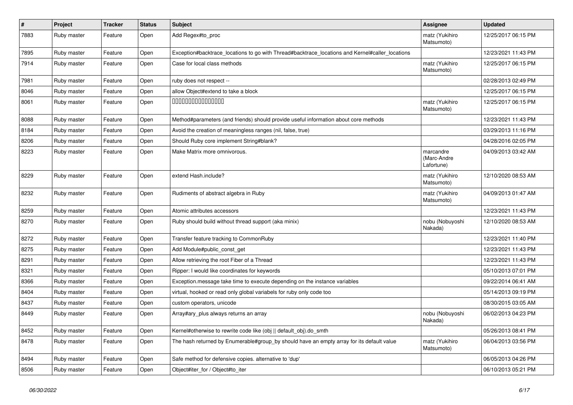| $\vert$ # | Project     | <b>Tracker</b> | <b>Status</b> | <b>Subject</b>                                                                                  | Assignee                               | <b>Updated</b>      |
|-----------|-------------|----------------|---------------|-------------------------------------------------------------------------------------------------|----------------------------------------|---------------------|
| 7883      | Ruby master | Feature        | Open          | Add Regex#to proc                                                                               | matz (Yukihiro<br>Matsumoto)           | 12/25/2017 06:15 PM |
| 7895      | Ruby master | Feature        | Open          | Exception#backtrace locations to go with Thread#backtrace locations and Kernel#caller locations |                                        | 12/23/2021 11:43 PM |
| 7914      | Ruby master | Feature        | Open          | Case for local class methods                                                                    | matz (Yukihiro<br>Matsumoto)           | 12/25/2017 06:15 PM |
| 7981      | Ruby master | Feature        | Open          | ruby does not respect --                                                                        |                                        | 02/28/2013 02:49 PM |
| 8046      | Ruby master | Feature        | Open          | allow Object#extend to take a block                                                             |                                        | 12/25/2017 06:15 PM |
| 8061      | Ruby master | Feature        | Open          | 000000000000000                                                                                 | matz (Yukihiro<br>Matsumoto)           | 12/25/2017 06:15 PM |
| 8088      | Ruby master | Feature        | Open          | Method#parameters (and friends) should provide useful information about core methods            |                                        | 12/23/2021 11:43 PM |
| 8184      | Ruby master | Feature        | Open          | Avoid the creation of meaningless ranges (nil, false, true)                                     |                                        | 03/29/2013 11:16 PM |
| 8206      | Ruby master | Feature        | Open          | Should Ruby core implement String#blank?                                                        |                                        | 04/28/2016 02:05 PM |
| 8223      | Ruby master | Feature        | Open          | Make Matrix more omnivorous.                                                                    | marcandre<br>(Marc-Andre<br>Lafortune) | 04/09/2013 03:42 AM |
| 8229      | Ruby master | Feature        | Open          | extend Hash.include?                                                                            | matz (Yukihiro<br>Matsumoto)           | 12/10/2020 08:53 AM |
| 8232      | Ruby master | Feature        | Open          | Rudiments of abstract algebra in Ruby                                                           | matz (Yukihiro<br>Matsumoto)           | 04/09/2013 01:47 AM |
| 8259      | Ruby master | Feature        | Open          | Atomic attributes accessors                                                                     |                                        | 12/23/2021 11:43 PM |
| 8270      | Ruby master | Feature        | Open          | Ruby should build without thread support (aka minix)                                            | nobu (Nobuyoshi<br>Nakada)             | 12/10/2020 08:53 AM |
| 8272      | Ruby master | Feature        | Open          | Transfer feature tracking to CommonRuby                                                         |                                        | 12/23/2021 11:40 PM |
| 8275      | Ruby master | Feature        | Open          | Add Module#public_const_get                                                                     |                                        | 12/23/2021 11:43 PM |
| 8291      | Ruby master | Feature        | Open          | Allow retrieving the root Fiber of a Thread                                                     |                                        | 12/23/2021 11:43 PM |
| 8321      | Ruby master | Feature        | Open          | Ripper: I would like coordinates for keywords                                                   |                                        | 05/10/2013 07:01 PM |
| 8366      | Ruby master | Feature        | Open          | Exception message take time to execute depending on the instance variables                      |                                        | 09/22/2014 06:41 AM |
| 8404      | Ruby master | Feature        | Open          | virtual, hooked or read only global variabels for ruby only code too                            |                                        | 05/14/2013 09:19 PM |
| 8437      | Ruby master | Feature        | Open          | custom operators, unicode                                                                       |                                        | 08/30/2015 03:05 AM |
| 8449      | Ruby master | Feature        | Open          | Array#ary_plus always returns an array                                                          | nobu (Nobuyoshi<br>Nakada)             | 06/02/2013 04:23 PM |
| 8452      | Ruby master | Feature        | Open          | Kernel#otherwise to rewrite code like (obj    default_obj).do_smth                              |                                        | 05/26/2013 08:41 PM |
| 8478      | Ruby master | Feature        | Open          | The hash returned by Enumerable#group_by should have an empty array for its default value       | matz (Yukihiro<br>Matsumoto)           | 06/04/2013 03:56 PM |
| 8494      | Ruby master | Feature        | Open          | Safe method for defensive copies. alternative to 'dup'                                          |                                        | 06/05/2013 04:26 PM |
| 8506      | Ruby master | Feature        | Open          | Object#iter for / Object#to iter                                                                |                                        | 06/10/2013 05:21 PM |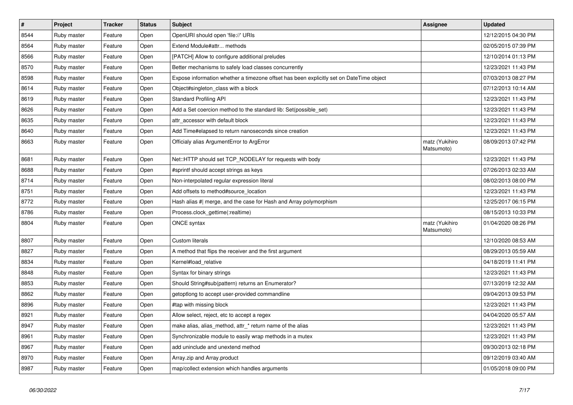| $\vert$ # | Project     | <b>Tracker</b> | <b>Status</b> | <b>Subject</b>                                                                          | <b>Assignee</b>              | <b>Updated</b>      |
|-----------|-------------|----------------|---------------|-----------------------------------------------------------------------------------------|------------------------------|---------------------|
| 8544      | Ruby master | Feature        | Open          | OpenURI should open 'file://' URIs                                                      |                              | 12/12/2015 04:30 PM |
| 8564      | Ruby master | Feature        | Open          | Extend Module#attr methods                                                              |                              | 02/05/2015 07:39 PM |
| 8566      | Ruby master | Feature        | Open          | [PATCH] Allow to configure additional preludes                                          |                              | 12/10/2014 01:13 PM |
| 8570      | Ruby master | Feature        | Open          | Better mechanisms to safely load classes concurrently                                   |                              | 12/23/2021 11:43 PM |
| 8598      | Ruby master | Feature        | Open          | Expose information whether a timezone offset has been explicitly set on DateTime object |                              | 07/03/2013 08:27 PM |
| 8614      | Ruby master | Feature        | Open          | Object#singleton class with a block                                                     |                              | 07/12/2013 10:14 AM |
| 8619      | Ruby master | Feature        | Open          | <b>Standard Profiling API</b>                                                           |                              | 12/23/2021 11:43 PM |
| 8626      | Ruby master | Feature        | Open          | Add a Set coercion method to the standard lib: Set(possible set)                        |                              | 12/23/2021 11:43 PM |
| 8635      | Ruby master | Feature        | Open          | attr_accessor with default block                                                        |                              | 12/23/2021 11:43 PM |
| 8640      | Ruby master | Feature        | Open          | Add Time#elapsed to return nanoseconds since creation                                   |                              | 12/23/2021 11:43 PM |
| 8663      | Ruby master | Feature        | Open          | Officialy alias ArgumentError to ArgError                                               | matz (Yukihiro<br>Matsumoto) | 08/09/2013 07:42 PM |
| 8681      | Ruby master | Feature        | Open          | Net::HTTP should set TCP_NODELAY for requests with body                                 |                              | 12/23/2021 11:43 PM |
| 8688      | Ruby master | Feature        | Open          | #sprintf should accept strings as keys                                                  |                              | 07/26/2013 02:33 AM |
| 8714      | Ruby master | Feature        | Open          | Non-interpolated regular expression literal                                             |                              | 08/02/2013 08:00 PM |
| 8751      | Ruby master | Feature        | Open          | Add offsets to method#source_location                                                   |                              | 12/23/2021 11:43 PM |
| 8772      | Ruby master | Feature        | Open          | Hash alias # merge, and the case for Hash and Array polymorphism                        |                              | 12/25/2017 06:15 PM |
| 8786      | Ruby master | Feature        | Open          | Process.clock_gettime(:realtime)                                                        |                              | 08/15/2013 10:33 PM |
| 8804      | Ruby master | Feature        | Open          | ONCE syntax                                                                             | matz (Yukihiro<br>Matsumoto) | 01/04/2020 08:26 PM |
| 8807      | Ruby master | Feature        | Open          | <b>Custom literals</b>                                                                  |                              | 12/10/2020 08:53 AM |
| 8827      | Ruby master | Feature        | Open          | A method that flips the receiver and the first argument                                 |                              | 08/29/2013 05:59 AM |
| 8834      | Ruby master | Feature        | Open          | Kernel#load relative                                                                    |                              | 04/18/2019 11:41 PM |
| 8848      | Ruby master | Feature        | Open          | Syntax for binary strings                                                               |                              | 12/23/2021 11:43 PM |
| 8853      | Ruby master | Feature        | Open          | Should String#sub(pattern) returns an Enumerator?                                       |                              | 07/13/2019 12:32 AM |
| 8862      | Ruby master | Feature        | Open          | getoptlong to accept user-provided commandline                                          |                              | 09/04/2013 09:53 PM |
| 8896      | Ruby master | Feature        | Open          | #tap with missing block                                                                 |                              | 12/23/2021 11:43 PM |
| 8921      | Ruby master | Feature        | Open          | Allow select, reject, etc to accept a regex                                             |                              | 04/04/2020 05:57 AM |
| 8947      | Ruby master | Feature        | Open          | make alias, alias_method, attr_* return name of the alias                               |                              | 12/23/2021 11:43 PM |
| 8961      | Ruby master | Feature        | Open          | Synchronizable module to easily wrap methods in a mutex                                 |                              | 12/23/2021 11:43 PM |
| 8967      | Ruby master | Feature        | Open          | add uninclude and unextend method                                                       |                              | 09/30/2013 02:18 PM |
| 8970      | Ruby master | Feature        | Open          | Array.zip and Array.product                                                             |                              | 09/12/2019 03:40 AM |
| 8987      | Ruby master | Feature        | Open          | map/collect extension which handles arguments                                           |                              | 01/05/2018 09:00 PM |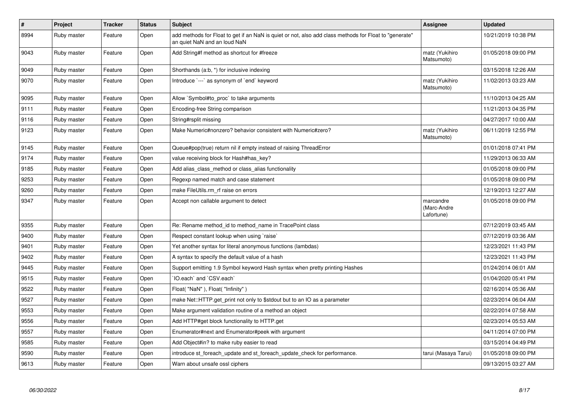| $\#$ | Project     | <b>Tracker</b> | <b>Status</b> | <b>Subject</b>                                                                                                                         | Assignee                               | <b>Updated</b>      |
|------|-------------|----------------|---------------|----------------------------------------------------------------------------------------------------------------------------------------|----------------------------------------|---------------------|
| 8994 | Ruby master | Feature        | Open          | add methods for Float to get if an NaN is quiet or not, also add class methods for Float to "generate"<br>an quiet NaN and an loud NaN |                                        | 10/21/2019 10:38 PM |
| 9043 | Ruby master | Feature        | Open          | Add String#f method as shortcut for #freeze                                                                                            | matz (Yukihiro<br>Matsumoto)           | 01/05/2018 09:00 PM |
| 9049 | Ruby master | Feature        | Open          | Shorthands (a:b, *) for inclusive indexing                                                                                             |                                        | 03/15/2018 12:26 AM |
| 9070 | Ruby master | Feature        | Open          | Introduce `---` as synonym of `end` keyword                                                                                            | matz (Yukihiro<br>Matsumoto)           | 11/02/2013 03:23 AM |
| 9095 | Ruby master | Feature        | Open          | Allow `Symbol#to proc` to take arguments                                                                                               |                                        | 11/10/2013 04:25 AM |
| 9111 | Ruby master | Feature        | Open          | Encoding-free String comparison                                                                                                        |                                        | 11/21/2013 04:35 PM |
| 9116 | Ruby master | Feature        | Open          | String#rsplit missing                                                                                                                  |                                        | 04/27/2017 10:00 AM |
| 9123 | Ruby master | Feature        | Open          | Make Numeric#nonzero? behavior consistent with Numeric#zero?                                                                           | matz (Yukihiro<br>Matsumoto)           | 06/11/2019 12:55 PM |
| 9145 | Ruby master | Feature        | Open          | Queue#pop(true) return nil if empty instead of raising ThreadError                                                                     |                                        | 01/01/2018 07:41 PM |
| 9174 | Ruby master | Feature        | Open          | value receiving block for Hash#has_key?                                                                                                |                                        | 11/29/2013 06:33 AM |
| 9185 | Ruby master | Feature        | Open          | Add alias class method or class alias functionality                                                                                    |                                        | 01/05/2018 09:00 PM |
| 9253 | Ruby master | Feature        | Open          | Regexp named match and case statement                                                                                                  |                                        | 01/05/2018 09:00 PM |
| 9260 | Ruby master | Feature        | Open          | make FileUtils.rm rf raise on errors                                                                                                   |                                        | 12/19/2013 12:27 AM |
| 9347 | Ruby master | Feature        | Open          | Accept non callable argument to detect                                                                                                 | marcandre<br>(Marc-Andre<br>Lafortune) | 01/05/2018 09:00 PM |
| 9355 | Ruby master | Feature        | Open          | Re: Rename method id to method name in TracePoint class                                                                                |                                        | 07/12/2019 03:45 AM |
| 9400 | Ruby master | Feature        | Open          | Respect constant lookup when using `raise`                                                                                             |                                        | 07/12/2019 03:36 AM |
| 9401 | Ruby master | Feature        | Open          | Yet another syntax for literal anonymous functions (lambdas)                                                                           |                                        | 12/23/2021 11:43 PM |
| 9402 | Ruby master | Feature        | Open          | A syntax to specify the default value of a hash                                                                                        |                                        | 12/23/2021 11:43 PM |
| 9445 | Ruby master | Feature        | Open          | Support emitting 1.9 Symbol keyword Hash syntax when pretty printing Hashes                                                            |                                        | 01/24/2014 06:01 AM |
| 9515 | Ruby master | Feature        | Open          | 'IO.each' and 'CSV.each'                                                                                                               |                                        | 01/04/2020 05:41 PM |
| 9522 | Ruby master | Feature        | Open          | Float("NaN"), Float("Infinity")                                                                                                        |                                        | 02/16/2014 05:36 AM |
| 9527 | Ruby master | Feature        | Open          | make Net::HTTP.get_print not only to \$stdout but to an IO as a parameter                                                              |                                        | 02/23/2014 06:04 AM |
| 9553 | Ruby master | Feature        | Open          | Make argument validation routine of a method an object                                                                                 |                                        | 02/22/2014 07:58 AM |
| 9556 | Ruby master | Feature        | Open          | Add HTTP#get block functionality to HTTP.get                                                                                           |                                        | 02/23/2014 05:53 AM |
| 9557 | Ruby master | Feature        | Open          | Enumerator#next and Enumerator#peek with argument                                                                                      |                                        | 04/11/2014 07:00 PM |
| 9585 | Ruby master | Feature        | Open          | Add Object#in? to make ruby easier to read                                                                                             |                                        | 03/15/2014 04:49 PM |
| 9590 | Ruby master | Feature        | Open          | introduce st_foreach_update and st_foreach_update_check for performance.                                                               | tarui (Masaya Tarui)                   | 01/05/2018 09:00 PM |
| 9613 | Ruby master | Feature        | Open          | Warn about unsafe ossl ciphers                                                                                                         |                                        | 09/13/2015 03:27 AM |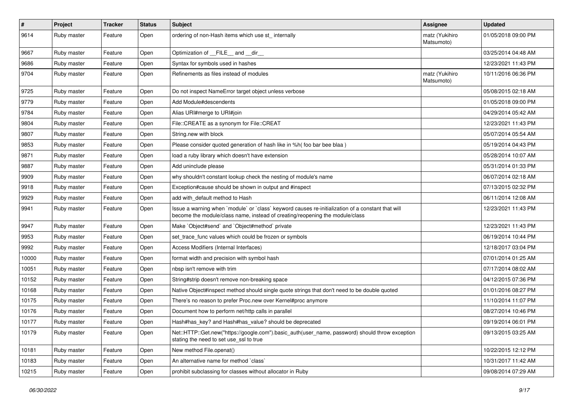| $\pmb{\#}$ | Project     | <b>Tracker</b> | <b>Status</b> | <b>Subject</b>                                                                                                                                                                    | Assignee                     | <b>Updated</b>      |
|------------|-------------|----------------|---------------|-----------------------------------------------------------------------------------------------------------------------------------------------------------------------------------|------------------------------|---------------------|
| 9614       | Ruby master | Feature        | Open          | ordering of non-Hash items which use st internally                                                                                                                                | matz (Yukihiro<br>Matsumoto) | 01/05/2018 09:00 PM |
| 9667       | Ruby master | Feature        | Open          | Optimization of FILE and dir                                                                                                                                                      |                              | 03/25/2014 04:48 AM |
| 9686       | Ruby master | Feature        | Open          | Syntax for symbols used in hashes                                                                                                                                                 |                              | 12/23/2021 11:43 PM |
| 9704       | Ruby master | Feature        | Open          | Refinements as files instead of modules                                                                                                                                           | matz (Yukihiro<br>Matsumoto) | 10/11/2016 06:36 PM |
| 9725       | Ruby master | Feature        | Open          | Do not inspect NameError target object unless verbose                                                                                                                             |                              | 05/08/2015 02:18 AM |
| 9779       | Ruby master | Feature        | Open          | Add Module#descendents                                                                                                                                                            |                              | 01/05/2018 09:00 PM |
| 9784       | Ruby master | Feature        | Open          | Alias URI#merge to URI#join                                                                                                                                                       |                              | 04/29/2014 05:42 AM |
| 9804       | Ruby master | Feature        | Open          | File::CREATE as a synonym for File::CREAT                                                                                                                                         |                              | 12/23/2021 11:43 PM |
| 9807       | Ruby master | Feature        | Open          | String.new with block                                                                                                                                                             |                              | 05/07/2014 05:54 AM |
| 9853       | Ruby master | Feature        | Open          | Please consider quoted generation of hash like in %h( foo bar bee blaa )                                                                                                          |                              | 05/19/2014 04:43 PM |
| 9871       | Ruby master | Feature        | Open          | load a ruby library which doesn't have extension                                                                                                                                  |                              | 05/28/2014 10:07 AM |
| 9887       | Ruby master | Feature        | Open          | Add uninclude please                                                                                                                                                              |                              | 05/31/2014 01:33 PM |
| 9909       | Ruby master | Feature        | Open          | why shouldn't constant lookup check the nesting of module's name                                                                                                                  |                              | 06/07/2014 02:18 AM |
| 9918       | Ruby master | Feature        | Open          | Exception#cause should be shown in output and #inspect                                                                                                                            |                              | 07/13/2015 02:32 PM |
| 9929       | Ruby master | Feature        | Open          | add with_default method to Hash                                                                                                                                                   |                              | 06/11/2014 12:08 AM |
| 9941       | Ruby master | Feature        | Open          | Issue a warning when `module` or `class` keyword causes re-initialization of a constant that will<br>become the module/class name, instead of creating/reopening the module/class |                              | 12/23/2021 11:43 PM |
| 9947       | Ruby master | Feature        | Open          | Make `Object#send` and `Object#method` private                                                                                                                                    |                              | 12/23/2021 11:43 PM |
| 9953       | Ruby master | Feature        | Open          | set trace func values which could be frozen or symbols                                                                                                                            |                              | 06/19/2014 10:44 PM |
| 9992       | Ruby master | Feature        | Open          | Access Modifiers (Internal Interfaces)                                                                                                                                            |                              | 12/18/2017 03:04 PM |
| 10000      | Ruby master | Feature        | Open          | format width and precision with symbol hash                                                                                                                                       |                              | 07/01/2014 01:25 AM |
| 10051      | Ruby master | Feature        | Open          | nbsp isn't remove with trim                                                                                                                                                       |                              | 07/17/2014 08:02 AM |
| 10152      | Ruby master | Feature        | Open          | String#strip doesn't remove non-breaking space                                                                                                                                    |                              | 04/12/2015 07:36 PM |
| 10168      | Ruby master | Feature        | Open          | Native Object#inspect method should single quote strings that don't need to be double quoted                                                                                      |                              | 01/01/2016 08:27 PM |
| 10175      | Ruby master | Feature        | Open          | There's no reason to prefer Proc.new over Kernel#proc anymore                                                                                                                     |                              | 11/10/2014 11:07 PM |
| 10176      | Ruby master | Feature        | Open          | Document how to perform net/http calls in parallel                                                                                                                                |                              | 08/27/2014 10:46 PM |
| 10177      | Ruby master | Feature        | Open          | Hash#has key? and Hash#has value? should be deprecated                                                                                                                            |                              | 09/19/2014 06:01 PM |
| 10179      | Ruby master | Feature        | Open          | Net::HTTP::Get.new("https://google.com").basic_auth(user_name, password) should throw exception<br>stating the need to set use_ssl to true                                        |                              | 09/13/2015 03:25 AM |
| 10181      | Ruby master | Feature        | Open          | New method File.openat()                                                                                                                                                          |                              | 10/22/2015 12:12 PM |
| 10183      | Ruby master | Feature        | Open          | An alternative name for method `class`                                                                                                                                            |                              | 10/31/2017 11:42 AM |
| 10215      | Ruby master | Feature        | Open          | prohibit subclassing for classes without allocator in Ruby                                                                                                                        |                              | 09/08/2014 07:29 AM |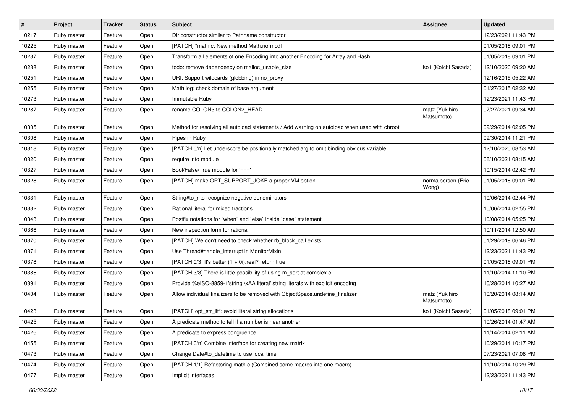| $\vert$ # | Project     | <b>Tracker</b> | <b>Status</b> | Subject                                                                                      | <b>Assignee</b>              | <b>Updated</b>      |
|-----------|-------------|----------------|---------------|----------------------------------------------------------------------------------------------|------------------------------|---------------------|
| 10217     | Ruby master | Feature        | Open          | Dir constructor similar to Pathname constructor                                              |                              | 12/23/2021 11:43 PM |
| 10225     | Ruby master | Feature        | Open          | [PATCH] *math.c: New method Math.normcdf                                                     |                              | 01/05/2018 09:01 PM |
| 10237     | Ruby master | Feature        | Open          | Transform all elements of one Encoding into another Encoding for Array and Hash              |                              | 01/05/2018 09:01 PM |
| 10238     | Ruby master | Feature        | Open          | todo: remove dependency on malloc_usable_size                                                | ko1 (Koichi Sasada)          | 12/10/2020 09:20 AM |
| 10251     | Ruby master | Feature        | Open          | URI: Support wildcards (globbing) in no_proxy                                                |                              | 12/16/2015 05:22 AM |
| 10255     | Ruby master | Feature        | Open          | Math.log: check domain of base argument                                                      |                              | 01/27/2015 02:32 AM |
| 10273     | Ruby master | Feature        | Open          | Immutable Ruby                                                                               |                              | 12/23/2021 11:43 PM |
| 10287     | Ruby master | Feature        | Open          | rename COLON3 to COLON2_HEAD.                                                                | matz (Yukihiro<br>Matsumoto) | 07/27/2021 09:34 AM |
| 10305     | Ruby master | Feature        | Open          | Method for resolving all autoload statements / Add warning on autoload when used with chroot |                              | 09/29/2014 02:05 PM |
| 10308     | Ruby master | Feature        | Open          | Pipes in Ruby                                                                                |                              | 09/30/2014 11:21 PM |
| 10318     | Ruby master | Feature        | Open          | [PATCH 0/n] Let underscore be positionally matched arg to omit binding obvious variable.     |                              | 12/10/2020 08:53 AM |
| 10320     | Ruby master | Feature        | Open          | require into module                                                                          |                              | 06/10/2021 08:15 AM |
| 10327     | Ruby master | Feature        | Open          | Bool/False/True module for $'=-$                                                             |                              | 10/15/2014 02:42 PM |
| 10328     | Ruby master | Feature        | Open          | [PATCH] make OPT_SUPPORT_JOKE a proper VM option                                             | normalperson (Eric<br>Wong)  | 01/05/2018 09:01 PM |
| 10331     | Ruby master | Feature        | Open          | String#to_r to recognize negative denominators                                               |                              | 10/06/2014 02:44 PM |
| 10332     | Ruby master | Feature        | Open          | Rational literal for mixed fractions                                                         |                              | 10/06/2014 02:55 PM |
| 10343     | Ruby master | Feature        | Open          | Postfix notations for `when` and `else` inside `case` statement                              |                              | 10/08/2014 05:25 PM |
| 10366     | Ruby master | Feature        | Open          | New inspection form for rational                                                             |                              | 10/11/2014 12:50 AM |
| 10370     | Ruby master | Feature        | Open          | [PATCH] We don't need to check whether rb_block_call exists                                  |                              | 01/29/2019 06:46 PM |
| 10371     | Ruby master | Feature        | Open          | Use Thread#handle_interrupt in MonitorMixin                                                  |                              | 12/23/2021 11:43 PM |
| 10378     | Ruby master | Feature        | Open          | [PATCH 0/3] It's better (1 + 0i).real? return true                                           |                              | 01/05/2018 09:01 PM |
| 10386     | Ruby master | Feature        | Open          | [PATCH 3/3] There is little possibility of using m_sqrt at complex.c                         |                              | 11/10/2014 11:10 PM |
| 10391     | Ruby master | Feature        | Open          | Provide %eISO-8859-1'string \xAA literal' string literals with explicit encoding             |                              | 10/28/2014 10:27 AM |
| 10404     | Ruby master | Feature        | Open          | Allow individual finalizers to be removed with ObjectSpace.undefine_finalizer                | matz (Yukihiro<br>Matsumoto) | 10/20/2014 08:14 AM |
| 10423     | Ruby master | Feature        | Open          | [PATCH] opt_str_lit*: avoid literal string allocations                                       | ko1 (Koichi Sasada)          | 01/05/2018 09:01 PM |
| 10425     | Ruby master | Feature        | Open          | A predicate method to tell if a number is near another                                       |                              | 10/26/2014 01:47 AM |
| 10426     | Ruby master | Feature        | Open          | A predicate to express congruence                                                            |                              | 11/14/2014 02:11 AM |
| 10455     | Ruby master | Feature        | Open          | [PATCH 0/n] Combine interface for creating new matrix                                        |                              | 10/29/2014 10:17 PM |
| 10473     | Ruby master | Feature        | Open          | Change Date#to datetime to use local time                                                    |                              | 07/23/2021 07:08 PM |
| 10474     | Ruby master | Feature        | Open          | [PATCH 1/1] Refactoring math.c (Combined some macros into one macro)                         |                              | 11/10/2014 10:29 PM |
| 10477     | Ruby master | Feature        | Open          | Implicit interfaces                                                                          |                              | 12/23/2021 11:43 PM |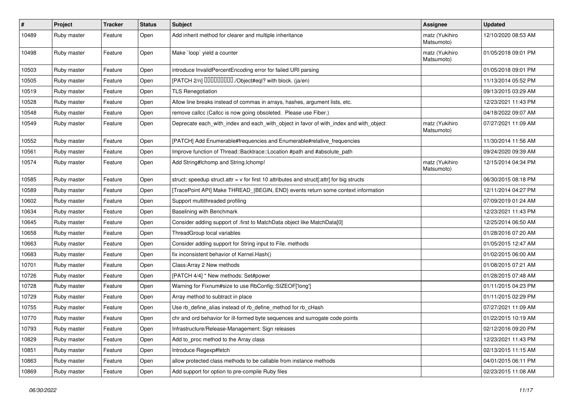| $\vert$ # | Project     | <b>Tracker</b> | <b>Status</b> | <b>Subject</b>                                                                              | Assignee                     | <b>Updated</b>      |
|-----------|-------------|----------------|---------------|---------------------------------------------------------------------------------------------|------------------------------|---------------------|
| 10489     | Ruby master | Feature        | Open          | Add inherit method for clearer and multiple inheritance                                     | matz (Yukihiro<br>Matsumoto) | 12/10/2020 08:53 AM |
| 10498     | Ruby master | Feature        | Open          | Make `loop` yield a counter                                                                 | matz (Yukihiro<br>Matsumoto) | 01/05/2018 09:01 PM |
| 10503     | Ruby master | Feature        | Open          | introduce InvalidPercentEncoding error for failed URI parsing                               |                              | 01/05/2018 09:01 PM |
| 10505     | Ruby master | Feature        | Open          | [PATCH 2/n] DDDDDDDD./Object#eql? with block. (ja/en)                                       |                              | 11/13/2014 05:52 PM |
| 10519     | Ruby master | Feature        | Open          | <b>TLS Renegotiation</b>                                                                    |                              | 09/13/2015 03:29 AM |
| 10528     | Ruby master | Feature        | Open          | Allow line breaks instead of commas in arrays, hashes, argument lists, etc.                 |                              | 12/23/2021 11:43 PM |
| 10548     | Ruby master | Feature        | Open          | remove callcc (Callcc is now going obsoleted. Please use Fiber.)                            |                              | 04/18/2022 09:07 AM |
| 10549     | Ruby master | Feature        | Open          | Deprecate each_with_index and each_with_object in favor of with_index and with_object       | matz (Yukihiro<br>Matsumoto) | 07/27/2021 11:09 AM |
| 10552     | Ruby master | Feature        | Open          | [PATCH] Add Enumerable#frequencies and Enumerable#relative_frequencies                      |                              | 11/30/2014 11:56 AM |
| 10561     | Ruby master | Feature        | Open          | Improve function of Thread::Backtrace::Location #path and #absolute_path                    |                              | 09/24/2020 09:39 AM |
| 10574     | Ruby master | Feature        | Open          | Add String#Ichomp and String.Ichomp!                                                        | matz (Yukihiro<br>Matsumoto) | 12/15/2014 04:34 PM |
| 10585     | Ruby master | Feature        | Open          | struct: speedup struct.attr = $v$ for first 10 attributes and struct[:attr] for big structs |                              | 06/30/2015 08:18 PM |
| 10589     | Ruby master | Feature        | Open          | [TracePoint API] Make THREAD_{BEGIN, END} events return some context information            |                              | 12/11/2014 04:27 PM |
| 10602     | Ruby master | Feature        | Open          | Support multithreaded profiling                                                             |                              | 07/09/2019 01:24 AM |
| 10634     | Ruby master | Feature        | Open          | Baselining with Benchmark                                                                   |                              | 12/23/2021 11:43 PM |
| 10645     | Ruby master | Feature        | Open          | Consider adding support of .first to MatchData object like MatchData[0]                     |                              | 12/25/2014 06:50 AM |
| 10658     | Ruby master | Feature        | Open          | ThreadGroup local variables                                                                 |                              | 01/28/2016 07:20 AM |
| 10663     | Ruby master | Feature        | Open          | Consider adding support for String input to File. methods                                   |                              | 01/05/2015 12:47 AM |
| 10683     | Ruby master | Feature        | Open          | fix inconsistent behavior of Kernel.Hash()                                                  |                              | 01/02/2015 06:00 AM |
| 10701     | Ruby master | Feature        | Open          | Class: Array 2 New methods                                                                  |                              | 01/08/2015 07:21 AM |
| 10726     | Ruby master | Feature        | Open          | [PATCH 4/4] * New methods: Set#power                                                        |                              | 01/28/2015 07:48 AM |
| 10728     | Ruby master | Feature        | Open          | Warning for Fixnum#size to use RbConfig::SIZEOF['long']                                     |                              | 01/11/2015 04:23 PM |
| 10729     | Ruby master | Feature        | Open          | Array method to subtract in place                                                           |                              | 01/11/2015 02:29 PM |
| 10755     | Ruby master | Feature        | Open          | Use rb_define_alias instead of rb_define_method for rb_cHash                                |                              | 07/27/2021 11:09 AM |
| 10770     | Ruby master | Feature        | Open          | chr and ord behavior for ill-formed byte sequences and surrogate code points                |                              | 01/22/2015 10:19 AM |
| 10793     | Ruby master | Feature        | Open          | Infrastructure/Release-Management: Sign releases                                            |                              | 02/12/2016 09:20 PM |
| 10829     | Ruby master | Feature        | Open          | Add to_proc method to the Array class                                                       |                              | 12/23/2021 11:43 PM |
| 10851     | Ruby master | Feature        | Open          | Introduce Regexp#fetch                                                                      |                              | 02/13/2015 11:15 AM |
| 10863     | Ruby master | Feature        | Open          | allow protected class methods to be callable from instance methods                          |                              | 04/01/2015 06:11 PM |
| 10869     | Ruby master | Feature        | Open          | Add support for option to pre-compile Ruby files                                            |                              | 02/23/2015 11:08 AM |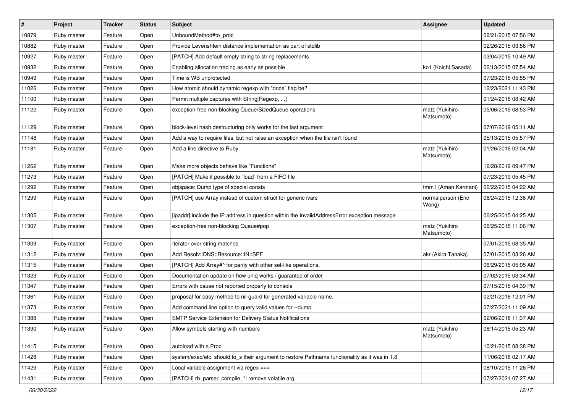| #     | Project     | <b>Tracker</b> | <b>Status</b> | Subject                                                                                        | Assignee                     | <b>Updated</b>      |
|-------|-------------|----------------|---------------|------------------------------------------------------------------------------------------------|------------------------------|---------------------|
| 10879 | Ruby master | Feature        | Open          | UnboundMethod#to_proc                                                                          |                              | 02/21/2015 07:56 PM |
| 10882 | Ruby master | Feature        | Open          | Provide Levenshtein distance implementation as part of stdlib                                  |                              | 02/26/2015 03:56 PM |
| 10927 | Ruby master | Feature        | Open          | [PATCH] Add default empty string to string replacements                                        |                              | 03/04/2015 10:49 AM |
| 10932 | Ruby master | Feature        | Open          | Enabling allocation tracing as early as possible                                               | ko1 (Koichi Sasada)          | 06/13/2015 07:54 AM |
| 10949 | Ruby master | Feature        | Open          | Time is WB unprotected                                                                         |                              | 07/23/2015 05:55 PM |
| 11026 | Ruby master | Feature        | Open          | How atomic should dynamic regexp with "once" flag be?                                          |                              | 12/23/2021 11:43 PM |
| 11100 | Ruby master | Feature        | Open          | Permit multiple captures with String[Regexp, ]                                                 |                              | 01/24/2016 08:42 AM |
| 11122 | Ruby master | Feature        | Open          | exception-free non-blocking Queue/SizedQueue operations                                        | matz (Yukihiro<br>Matsumoto) | 05/06/2015 08:53 PM |
| 11129 | Ruby master | Feature        | Open          | block-level hash destructuring only works for the last argument                                |                              | 07/07/2019 05:11 AM |
| 11148 | Ruby master | Feature        | Open          | Add a way to require files, but not raise an exception when the file isn't found               |                              | 05/13/2015 05:57 PM |
| 11181 | Ruby master | Feature        | Open          | Add a line directive to Ruby                                                                   | matz (Yukihiro<br>Matsumoto) | 01/26/2016 02:04 AM |
| 11262 | Ruby master | Feature        | Open          | Make more objects behave like "Functions"                                                      |                              | 12/28/2019 09:47 PM |
| 11273 | Ruby master | Feature        | Open          | [PATCH] Make it possible to `load` from a FIFO file                                            |                              | 07/23/2019 05:45 PM |
| 11292 | Ruby master | Feature        | Open          | objspace: Dump type of special consts                                                          | tmm1 (Aman Karmani)          | 06/22/2015 04:22 AM |
| 11299 | Ruby master | Feature        | Open          | [PATCH] use Array instead of custom struct for generic ivars                                   | normalperson (Eric<br>Wong)  | 06/24/2015 12:38 AM |
| 11305 | Ruby master | Feature        | Open          | [ipaddr] include the IP address in question within the InvalidAddressError exception message   |                              | 06/25/2015 04:25 AM |
| 11307 | Ruby master | Feature        | Open          | exception-free non-blocking Queue#pop                                                          | matz (Yukihiro<br>Matsumoto) | 06/25/2015 11:06 PM |
| 11309 | Ruby master | Feature        | Open          | Iterator over string matches                                                                   |                              | 07/01/2015 08:35 AM |
| 11312 | Ruby master | Feature        | Open          | Add Resolv::DNS::Resource::IN::SPF                                                             | akr (Akira Tanaka)           | 07/01/2015 03:26 AM |
| 11315 | Ruby master | Feature        | Open          | [PATCH] Add Array#^ for parity with other set-like operations.                                 |                              | 06/29/2015 05:05 AM |
| 11323 | Ruby master | Feature        | Open          | Documentation update on how uniq works / guarantee of order                                    |                              | 07/02/2015 03:34 AM |
| 11347 | Ruby master | Feature        | Open          | Errors with cause not reported properly to console                                             |                              | 07/15/2015 04:39 PM |
| 11361 | Ruby master | Feature        | Open          | proposal for easy method to nil-guard for generated variable name.                             |                              | 02/21/2016 12:01 PM |
| 11373 | Ruby master | Feature        | Open          | Add command line option to query valid values for --dump                                       |                              | 07/27/2021 11:09 AM |
| 11388 | Ruby master | Feature        | Open          | <b>SMTP Service Extension for Delivery Status Notifications</b>                                |                              | 02/06/2018 11:37 AM |
| 11390 | Ruby master | Feature        | Open          | Allow symbols starting with numbers                                                            | matz (Yukihiro<br>Matsumoto) | 08/14/2015 05:23 AM |
| 11415 | Ruby master | Feature        | Open          | autoload with a Proc                                                                           |                              | 10/21/2015 08:38 PM |
| 11428 | Ruby master | Feature        | Open          | system/exec/etc. should to_s their argument to restore Pathname functionality as it was in 1.8 |                              | 11/06/2016 02:17 AM |
| 11429 | Ruby master | Feature        | Open          | Local variable assignment via regex ===                                                        |                              | 08/10/2015 11:26 PM |
| 11431 | Ruby master | Feature        | Open          | [PATCH] rb_parser_compile_*: remove volatile arg                                               |                              | 07/27/2021 07:27 AM |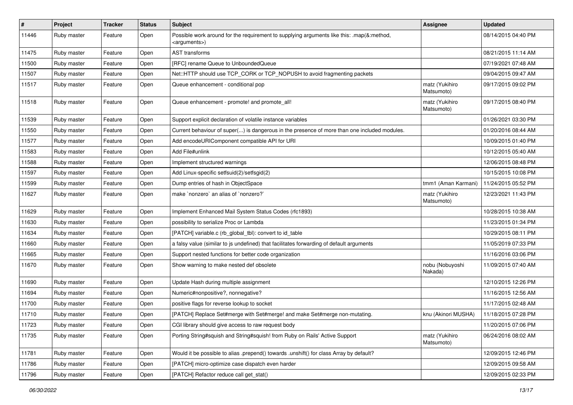| $\sharp$ | Project     | <b>Tracker</b> | <b>Status</b> | Subject                                                                                                               | Assignee                     | <b>Updated</b>      |
|----------|-------------|----------------|---------------|-----------------------------------------------------------------------------------------------------------------------|------------------------------|---------------------|
| 11446    | Ruby master | Feature        | Open          | Possible work around for the requirement to supplying arguments like this: .map(&:method,<br><arguments>)</arguments> |                              | 08/14/2015 04:40 PM |
| 11475    | Ruby master | Feature        | Open          | <b>AST</b> transforms                                                                                                 |                              | 08/21/2015 11:14 AM |
| 11500    | Ruby master | Feature        | Open          | [RFC] rename Queue to UnboundedQueue                                                                                  |                              | 07/19/2021 07:48 AM |
| 11507    | Ruby master | Feature        | Open          | Net::HTTP should use TCP_CORK or TCP_NOPUSH to avoid fragmenting packets                                              |                              | 09/04/2015 09:47 AM |
| 11517    | Ruby master | Feature        | Open          | Queue enhancement - conditional pop                                                                                   | matz (Yukihiro<br>Matsumoto) | 09/17/2015 09:02 PM |
| 11518    | Ruby master | Feature        | Open          | Queue enhancement - promote! and promote_all!                                                                         | matz (Yukihiro<br>Matsumoto) | 09/17/2015 08:40 PM |
| 11539    | Ruby master | Feature        | Open          | Support explicit declaration of volatile instance variables                                                           |                              | 01/26/2021 03:30 PM |
| 11550    | Ruby master | Feature        | Open          | Current behaviour of super() is dangerous in the presence of more than one included modules.                          |                              | 01/20/2016 08:44 AM |
| 11577    | Ruby master | Feature        | Open          | Add encodeURIComponent compatible API for URI                                                                         |                              | 10/09/2015 01:40 PM |
| 11583    | Ruby master | Feature        | Open          | Add File#unlink                                                                                                       |                              | 10/12/2015 05:40 AM |
| 11588    | Ruby master | Feature        | Open          | Implement structured warnings                                                                                         |                              | 12/06/2015 08:48 PM |
| 11597    | Ruby master | Feature        | Open          | Add Linux-specific setfsuid(2)/setfsgid(2)                                                                            |                              | 10/15/2015 10:08 PM |
| 11599    | Ruby master | Feature        | Open          | Dump entries of hash in ObjectSpace                                                                                   | tmm1 (Aman Karmani)          | 11/24/2015 05:52 PM |
| 11627    | Ruby master | Feature        | Open          | make `nonzero` an alias of `nonzero?`                                                                                 | matz (Yukihiro<br>Matsumoto) | 12/23/2021 11:43 PM |
| 11629    | Ruby master | Feature        | Open          | Implement Enhanced Mail System Status Codes (rfc1893)                                                                 |                              | 10/28/2015 10:38 AM |
| 11630    | Ruby master | Feature        | Open          | possibility to serialize Proc or Lambda                                                                               |                              | 11/23/2015 01:34 PM |
| 11634    | Ruby master | Feature        | Open          | [PATCH] variable.c (rb_global_tbl): convert to id_table                                                               |                              | 10/29/2015 08:11 PM |
| 11660    | Ruby master | Feature        | Open          | a falsy value (similar to js undefined) that facilitates forwarding of default arguments                              |                              | 11/05/2019 07:33 PM |
| 11665    | Ruby master | Feature        | Open          | Support nested functions for better code organization                                                                 |                              | 11/16/2016 03:06 PM |
| 11670    | Ruby master | Feature        | Open          | Show warning to make nested def obsolete                                                                              | nobu (Nobuyoshi<br>Nakada)   | 11/09/2015 07:40 AM |
| 11690    | Ruby master | Feature        | Open          | Update Hash during multiple assignment                                                                                |                              | 12/10/2015 12:26 PM |
| 11694    | Ruby master | Feature        | Open          | Numeric#nonpositive?, nonnegative?                                                                                    |                              | 11/16/2015 12:56 AM |
| 11700    | Ruby master | Feature        | Open          | positive flags for reverse lookup to socket                                                                           |                              | 11/17/2015 02:48 AM |
| 11710    | Ruby master | Feature        | Open          | [PATCH] Replace Set#merge with Set#merge! and make Set#merge non-mutating.                                            | knu (Akinori MUSHA)          | 11/18/2015 07:28 PM |
| 11723    | Ruby master | Feature        | Open          | CGI library should give access to raw request body                                                                    |                              | 11/20/2015 07:06 PM |
| 11735    | Ruby master | Feature        | Open          | Porting String#squish and String#squish! from Ruby on Rails' Active Support                                           | matz (Yukihiro<br>Matsumoto) | 06/24/2016 08:02 AM |
| 11781    | Ruby master | Feature        | Open          | Would it be possible to alias .prepend() towards .unshift() for class Array by default?                               |                              | 12/09/2015 12:46 PM |
| 11786    | Ruby master | Feature        | Open          | [PATCH] micro-optimize case dispatch even harder                                                                      |                              | 12/09/2015 09:58 AM |
| 11796    | Ruby master | Feature        | Open          | [PATCH] Refactor reduce call get_stat()                                                                               |                              | 12/09/2015 02:33 PM |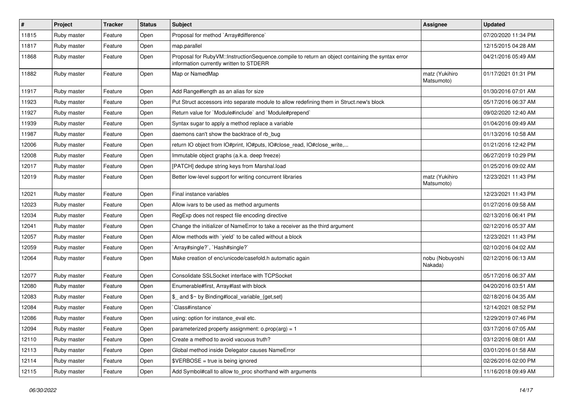| #     | Project     | <b>Tracker</b> | <b>Status</b> | Subject                                                                                                                                     | Assignee                     | <b>Updated</b>      |
|-------|-------------|----------------|---------------|---------------------------------------------------------------------------------------------------------------------------------------------|------------------------------|---------------------|
| 11815 | Ruby master | Feature        | Open          | Proposal for method `Array#difference`                                                                                                      |                              | 07/20/2020 11:34 PM |
| 11817 | Ruby master | Feature        | Open          | map.parallel                                                                                                                                |                              | 12/15/2015 04:28 AM |
| 11868 | Ruby master | Feature        | Open          | Proposal for RubyVM::InstructionSequence.compile to return an object containing the syntax error<br>information currently written to STDERR |                              | 04/21/2016 05:49 AM |
| 11882 | Ruby master | Feature        | Open          | Map or NamedMap                                                                                                                             | matz (Yukihiro<br>Matsumoto) | 01/17/2021 01:31 PM |
| 11917 | Ruby master | Feature        | Open          | Add Range#length as an alias for size                                                                                                       |                              | 01/30/2016 07:01 AM |
| 11923 | Ruby master | Feature        | Open          | Put Struct accessors into separate module to allow redefining them in Struct.new's block                                                    |                              | 05/17/2016 06:37 AM |
| 11927 | Ruby master | Feature        | Open          | Return value for `Module#include` and `Module#prepend`                                                                                      |                              | 09/02/2020 12:40 AM |
| 11939 | Ruby master | Feature        | Open          | Syntax sugar to apply a method replace a variable                                                                                           |                              | 01/04/2016 09:49 AM |
| 11987 | Ruby master | Feature        | Open          | daemons can't show the backtrace of rb bug                                                                                                  |                              | 01/13/2016 10:58 AM |
| 12006 | Ruby master | Feature        | Open          | return IO object from IO#print, IO#puts, IO#close_read, IO#close_write,                                                                     |                              | 01/21/2016 12:42 PM |
| 12008 | Ruby master | Feature        | Open          | Immutable object graphs (a.k.a. deep freeze)                                                                                                |                              | 06/27/2019 10:29 PM |
| 12017 | Ruby master | Feature        | Open          | [PATCH] dedupe string keys from Marshal.load                                                                                                |                              | 01/25/2016 09:02 AM |
| 12019 | Ruby master | Feature        | Open          | Better low-level support for writing concurrent libraries                                                                                   | matz (Yukihiro<br>Matsumoto) | 12/23/2021 11:43 PM |
| 12021 | Ruby master | Feature        | Open          | Final instance variables                                                                                                                    |                              | 12/23/2021 11:43 PM |
| 12023 | Ruby master | Feature        | Open          | Allow ivars to be used as method arguments                                                                                                  |                              | 01/27/2016 09:58 AM |
| 12034 | Ruby master | Feature        | Open          | RegExp does not respect file encoding directive                                                                                             |                              | 02/13/2016 06:41 PM |
| 12041 | Ruby master | Feature        | Open          | Change the initializer of NameError to take a receiver as the third argument                                                                |                              | 02/12/2016 05:37 AM |
| 12057 | Ruby master | Feature        | Open          | Allow methods with `yield` to be called without a block                                                                                     |                              | 12/23/2021 11:43 PM |
| 12059 | Ruby master | Feature        | Open          | 'Array#single?', 'Hash#single?'                                                                                                             |                              | 02/10/2016 04:02 AM |
| 12064 | Ruby master | Feature        | Open          | Make creation of enc/unicode/casefold.h automatic again                                                                                     | nobu (Nobuyoshi<br>Nakada)   | 02/12/2016 06:13 AM |
| 12077 | Ruby master | Feature        | Open          | Consolidate SSLSocket interface with TCPSocket                                                                                              |                              | 05/17/2016 06:37 AM |
| 12080 | Ruby master | Feature        | Open          | Enumerable#first, Array#last with block                                                                                                     |                              | 04/20/2016 03:51 AM |
| 12083 | Ruby master | Feature        | Open          | \$_ and \$~ by Binding#local_variable_{get,set}                                                                                             |                              | 02/18/2016 04:35 AM |
| 12084 | Ruby master | Feature        | Open          | Class#instance`                                                                                                                             |                              | 12/14/2021 08:52 PM |
| 12086 | Ruby master | Feature        | Open          | using: option for instance_eval etc.                                                                                                        |                              | 12/29/2019 07:46 PM |
| 12094 | Ruby master | Feature        | Open          | parameterized property assignment: $o.prop(arg) = 1$                                                                                        |                              | 03/17/2016 07:05 AM |
| 12110 | Ruby master | Feature        | Open          | Create a method to avoid vacuous truth?                                                                                                     |                              | 03/12/2016 08:01 AM |
| 12113 | Ruby master | Feature        | Open          | Global method inside Delegator causes NameError                                                                                             |                              | 03/01/2016 01:58 AM |
| 12114 | Ruby master | Feature        | Open          | $$VERBOSE = true is being ignored$                                                                                                          |                              | 02/26/2016 02:00 PM |
| 12115 | Ruby master | Feature        | Open          | Add Symbol#call to allow to_proc shorthand with arguments                                                                                   |                              | 11/16/2018 09:49 AM |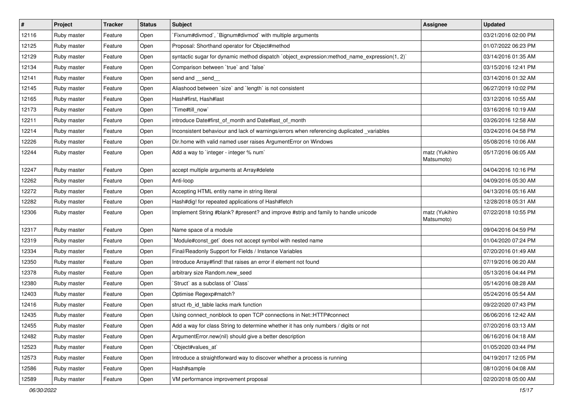| $\vert$ # | Project     | <b>Tracker</b> | <b>Status</b> | Subject                                                                                      | Assignee                     | <b>Updated</b>      |
|-----------|-------------|----------------|---------------|----------------------------------------------------------------------------------------------|------------------------------|---------------------|
| 12116     | Ruby master | Feature        | Open          | Fixnum#divmod`, `Bignum#divmod` with multiple arguments                                      |                              | 03/21/2016 02:00 PM |
| 12125     | Ruby master | Feature        | Open          | Proposal: Shorthand operator for Object#method                                               |                              | 01/07/2022 06:23 PM |
| 12129     | Ruby master | Feature        | Open          | syntactic sugar for dynamic method dispatch `object_expression:method_name_expression(1, 2)` |                              | 03/14/2016 01:35 AM |
| 12134     | Ruby master | Feature        | Open          | Comparison between 'true' and 'false'                                                        |                              | 03/15/2016 12:41 PM |
| 12141     | Ruby master | Feature        | Open          | send and __send_                                                                             |                              | 03/14/2016 01:32 AM |
| 12145     | Ruby master | Feature        | Open          | Aliashood between `size` and `length` is not consistent                                      |                              | 06/27/2019 10:02 PM |
| 12165     | Ruby master | Feature        | Open          | Hash#first, Hash#last                                                                        |                              | 03/12/2016 10:55 AM |
| 12173     | Ruby master | Feature        | Open          | `Time#till_now`                                                                              |                              | 03/16/2016 10:19 AM |
| 12211     | Ruby master | Feature        | Open          | introduce Date#first_of_month and Date#last_of_month                                         |                              | 03/26/2016 12:58 AM |
| 12214     | Ruby master | Feature        | Open          | Inconsistent behaviour and lack of warnings/errors when referencing duplicated _variables    |                              | 03/24/2016 04:58 PM |
| 12226     | Ruby master | Feature        | Open          | Dir.home with valid named user raises ArgumentError on Windows                               |                              | 05/08/2016 10:06 AM |
| 12244     | Ruby master | Feature        | Open          | Add a way to `integer - integer % num`                                                       | matz (Yukihiro<br>Matsumoto) | 05/17/2016 06:05 AM |
| 12247     | Ruby master | Feature        | Open          | accept multiple arguments at Array#delete                                                    |                              | 04/04/2016 10:16 PM |
| 12262     | Ruby master | Feature        | Open          | Anti-loop                                                                                    |                              | 04/09/2016 05:30 AM |
| 12272     | Ruby master | Feature        | Open          | Accepting HTML entity name in string literal                                                 |                              | 04/13/2016 05:16 AM |
| 12282     | Ruby master | Feature        | Open          | Hash#dig! for repeated applications of Hash#fetch                                            |                              | 12/28/2018 05:31 AM |
| 12306     | Ruby master | Feature        | Open          | Implement String #blank? #present? and improve #strip and family to handle unicode           | matz (Yukihiro<br>Matsumoto) | 07/22/2018 10:55 PM |
| 12317     | Ruby master | Feature        | Open          | Name space of a module                                                                       |                              | 09/04/2016 04:59 PM |
| 12319     | Ruby master | Feature        | Open          | Module#const_get` does not accept symbol with nested name                                    |                              | 01/04/2020 07:24 PM |
| 12334     | Ruby master | Feature        | Open          | Final/Readonly Support for Fields / Instance Variables                                       |                              | 07/20/2016 01:49 AM |
| 12350     | Ruby master | Feature        | Open          | Introduce Array#find! that raises an error if element not found                              |                              | 07/19/2016 06:20 AM |
| 12378     | Ruby master | Feature        | Open          | arbitrary size Random.new_seed                                                               |                              | 05/13/2016 04:44 PM |
| 12380     | Ruby master | Feature        | Open          | 'Struct' as a subclass of 'Class'                                                            |                              | 05/14/2016 08:28 AM |
| 12403     | Ruby master | Feature        | Open          | Optimise Regexp#match?                                                                       |                              | 05/24/2016 05:54 AM |
| 12416     | Ruby master | Feature        | Open          | struct rb_id_table lacks mark function                                                       |                              | 09/22/2020 07:43 PM |
| 12435     | Ruby master | Feature        | Open          | Using connect_nonblock to open TCP connections in Net::HTTP#connect                          |                              | 06/06/2016 12:42 AM |
| 12455     | Ruby master | Feature        | Open          | Add a way for class String to determine whether it has only numbers / digits or not          |                              | 07/20/2016 03:13 AM |
| 12482     | Ruby master | Feature        | Open          | ArgumentError.new(nil) should give a better description                                      |                              | 06/16/2016 04:18 AM |
| 12523     | Ruby master | Feature        | Open          | Object#values_at`                                                                            |                              | 01/05/2020 03:44 PM |
| 12573     | Ruby master | Feature        | Open          | Introduce a straightforward way to discover whether a process is running                     |                              | 04/19/2017 12:05 PM |
| 12586     | Ruby master | Feature        | Open          | Hash#sample                                                                                  |                              | 08/10/2016 04:08 AM |
| 12589     | Ruby master | Feature        | Open          | VM performance improvement proposal                                                          |                              | 02/20/2018 05:00 AM |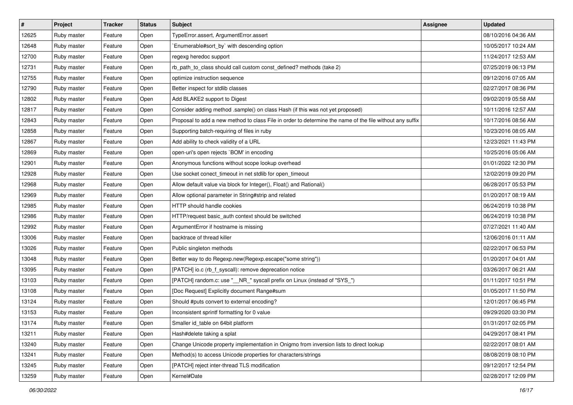| #     | Project     | <b>Tracker</b> | <b>Status</b> | <b>Subject</b>                                                                                           | Assignee | <b>Updated</b>      |
|-------|-------------|----------------|---------------|----------------------------------------------------------------------------------------------------------|----------|---------------------|
| 12625 | Ruby master | Feature        | Open          | TypeError.assert, ArgumentError.assert                                                                   |          | 08/10/2016 04:36 AM |
| 12648 | Ruby master | Feature        | Open          | Enumerable#sort_by` with descending option                                                               |          | 10/05/2017 10:24 AM |
| 12700 | Ruby master | Feature        | Open          | regexg heredoc support                                                                                   |          | 11/24/2017 12:53 AM |
| 12731 | Ruby master | Feature        | Open          | rb_path_to_class should call custom const_defined? methods (take 2)                                      |          | 07/25/2019 06:13 PM |
| 12755 | Ruby master | Feature        | Open          | optimize instruction sequence                                                                            |          | 09/12/2016 07:05 AM |
| 12790 | Ruby master | Feature        | Open          | Better inspect for stdlib classes                                                                        |          | 02/27/2017 08:36 PM |
| 12802 | Ruby master | Feature        | Open          | Add BLAKE2 support to Digest                                                                             |          | 09/02/2019 05:58 AM |
| 12817 | Ruby master | Feature        | Open          | Consider adding method .sample() on class Hash (if this was not yet proposed)                            |          | 10/11/2016 12:57 AM |
| 12843 | Ruby master | Feature        | Open          | Proposal to add a new method to class File in order to determine the name of the file without any suffix |          | 10/17/2016 08:56 AM |
| 12858 | Ruby master | Feature        | Open          | Supporting batch-requiring of files in ruby                                                              |          | 10/23/2016 08:05 AM |
| 12867 | Ruby master | Feature        | Open          | Add ability to check validity of a URL                                                                   |          | 12/23/2021 11:43 PM |
| 12869 | Ruby master | Feature        | Open          | open-uri's open rejects `BOM' in encoding                                                                |          | 10/25/2016 05:06 AM |
| 12901 | Ruby master | Feature        | Open          | Anonymous functions without scope lookup overhead                                                        |          | 01/01/2022 12:30 PM |
| 12928 | Ruby master | Feature        | Open          | Use socket conect_timeout in net stdlib for open_timeout                                                 |          | 12/02/2019 09:20 PM |
| 12968 | Ruby master | Feature        | Open          | Allow default value via block for Integer(), Float() and Rational()                                      |          | 06/28/2017 05:53 PM |
| 12969 | Ruby master | Feature        | Open          | Allow optional parameter in String#strip and related                                                     |          | 01/20/2017 08:19 AM |
| 12985 | Ruby master | Feature        | Open          | HTTP should handle cookies                                                                               |          | 06/24/2019 10:38 PM |
| 12986 | Ruby master | Feature        | Open          | HTTP/request basic_auth context should be switched                                                       |          | 06/24/2019 10:38 PM |
| 12992 | Ruby master | Feature        | Open          | ArgumentError if hostname is missing                                                                     |          | 07/27/2021 11:40 AM |
| 13006 | Ruby master | Feature        | Open          | backtrace of thread killer                                                                               |          | 12/06/2016 01:11 AM |
| 13026 | Ruby master | Feature        | Open          | Public singleton methods                                                                                 |          | 02/22/2017 06:53 PM |
| 13048 | Ruby master | Feature        | Open          | Better way to do Regexp.new(Regexp.escape("some string"))                                                |          | 01/20/2017 04:01 AM |
| 13095 | Ruby master | Feature        | Open          | [PATCH] io.c (rb_f_syscall): remove deprecation notice                                                   |          | 03/26/2017 06:21 AM |
| 13103 | Ruby master | Feature        | Open          | [PATCH] random.c: use "__NR_" syscall prefix on Linux (instead of "SYS_")                                |          | 01/11/2017 10:51 PM |
| 13108 | Ruby master | Feature        | Open          | [Doc Request] Explicitly document Range#sum                                                              |          | 01/05/2017 11:50 PM |
| 13124 | Ruby master | Feature        | Open          | Should #puts convert to external encoding?                                                               |          | 12/01/2017 06:45 PM |
| 13153 | Ruby master | Feature        | Open          | Inconsistent sprintf formatting for 0 value                                                              |          | 09/29/2020 03:30 PM |
| 13174 | Ruby master | Feature        | Open          | Smaller id_table on 64bit platform                                                                       |          | 01/31/2017 02:05 PM |
| 13211 | Ruby master | Feature        | Open          | Hash#delete taking a splat                                                                               |          | 04/29/2017 08:41 PM |
| 13240 | Ruby master | Feature        | Open          | Change Unicode property implementation in Onigmo from inversion lists to direct lookup                   |          | 02/22/2017 08:01 AM |
| 13241 | Ruby master | Feature        | Open          | Method(s) to access Unicode properties for characters/strings                                            |          | 08/08/2019 08:10 PM |
| 13245 | Ruby master | Feature        | Open          | [PATCH] reject inter-thread TLS modification                                                             |          | 09/12/2017 12:54 PM |
| 13259 | Ruby master | Feature        | Open          | Kernel#Date                                                                                              |          | 02/28/2017 12:09 PM |